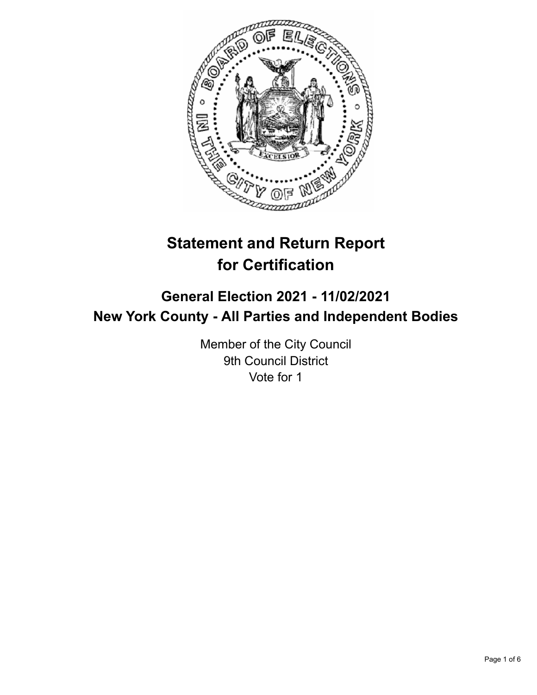

# **Statement and Return Report for Certification**

## **General Election 2021 - 11/02/2021 New York County - All Parties and Independent Bodies**

Member of the City Council 9th Council District Vote for 1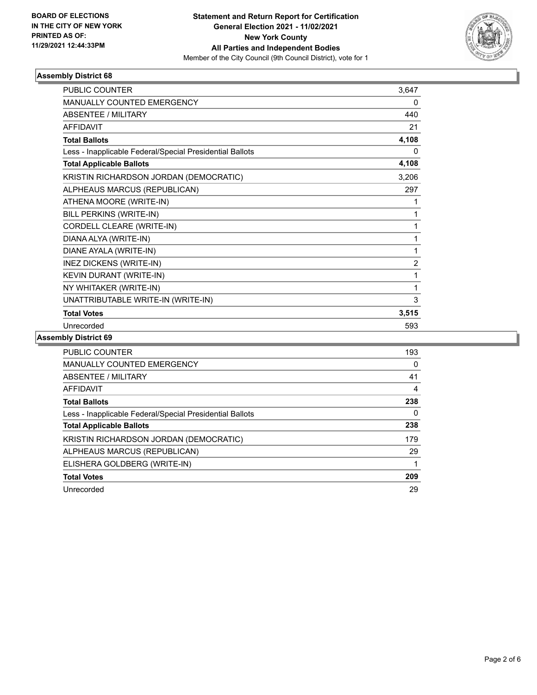

## **Assembly District 68**

| <b>PUBLIC COUNTER</b>                                    | 3,647          |
|----------------------------------------------------------|----------------|
| <b>MANUALLY COUNTED EMERGENCY</b>                        | 0              |
| <b>ABSENTEE / MILITARY</b>                               | 440            |
| AFFIDAVIT                                                | 21             |
| <b>Total Ballots</b>                                     | 4,108          |
| Less - Inapplicable Federal/Special Presidential Ballots | 0              |
| <b>Total Applicable Ballots</b>                          | 4,108          |
| KRISTIN RICHARDSON JORDAN (DEMOCRATIC)                   | 3,206          |
| ALPHEAUS MARCUS (REPUBLICAN)                             | 297            |
| ATHENA MOORE (WRITE-IN)                                  | 1              |
| BILL PERKINS (WRITE-IN)                                  | 1              |
| CORDELL CLEARE (WRITE-IN)                                | 1              |
| DIANA ALYA (WRITE-IN)                                    | 1              |
| DIANE AYALA (WRITE-IN)                                   | 1              |
| INEZ DICKENS (WRITE-IN)                                  | $\overline{2}$ |
| KEVIN DURANT (WRITE-IN)                                  | 1              |
| NY WHITAKER (WRITE-IN)                                   | 1              |
| UNATTRIBUTABLE WRITE-IN (WRITE-IN)                       | 3              |
| <b>Total Votes</b>                                       | 3,515          |
| Unrecorded                                               | 593            |

## **Assembly District 69**

| PUBLIC COUNTER                                           | 193 |
|----------------------------------------------------------|-----|
| <b>MANUALLY COUNTED EMERGENCY</b>                        | 0   |
| ABSENTEE / MILITARY                                      | 41  |
| AFFIDAVIT                                                | 4   |
| <b>Total Ballots</b>                                     | 238 |
| Less - Inapplicable Federal/Special Presidential Ballots | 0   |
| <b>Total Applicable Ballots</b>                          | 238 |
| KRISTIN RICHARDSON JORDAN (DEMOCRATIC)                   | 179 |
| ALPHEAUS MARCUS (REPUBLICAN)                             | 29  |
| ELISHERA GOLDBERG (WRITE-IN)                             |     |
| <b>Total Votes</b>                                       | 209 |
| Unrecorded                                               | 29  |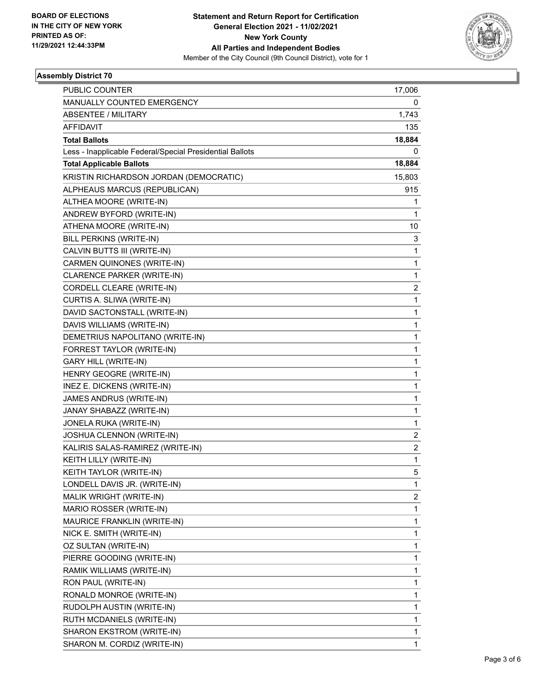

## **Assembly District 70**

| PUBLIC COUNTER                                           | 17,006                  |
|----------------------------------------------------------|-------------------------|
| MANUALLY COUNTED EMERGENCY                               | 0                       |
| <b>ABSENTEE / MILITARY</b>                               | 1,743                   |
| <b>AFFIDAVIT</b>                                         | 135                     |
| <b>Total Ballots</b>                                     | 18,884                  |
| Less - Inapplicable Federal/Special Presidential Ballots | 0                       |
| <b>Total Applicable Ballots</b>                          | 18,884                  |
| KRISTIN RICHARDSON JORDAN (DEMOCRATIC)                   | 15,803                  |
| ALPHEAUS MARCUS (REPUBLICAN)                             | 915                     |
| ALTHEA MOORE (WRITE-IN)                                  | 1                       |
| ANDREW BYFORD (WRITE-IN)                                 | 1                       |
| ATHENA MOORE (WRITE-IN)                                  | 10                      |
| BILL PERKINS (WRITE-IN)                                  | 3                       |
| CALVIN BUTTS III (WRITE-IN)                              | 1                       |
| CARMEN QUINONES (WRITE-IN)                               | 1                       |
| CLARENCE PARKER (WRITE-IN)                               | 1                       |
| CORDELL CLEARE (WRITE-IN)                                | 2                       |
| CURTIS A. SLIWA (WRITE-IN)                               | 1                       |
| DAVID SACTONSTALL (WRITE-IN)                             | 1                       |
| DAVIS WILLIAMS (WRITE-IN)                                | 1                       |
| DEMETRIUS NAPOLITANO (WRITE-IN)                          | 1                       |
| FORREST TAYLOR (WRITE-IN)                                | 1                       |
| <b>GARY HILL (WRITE-IN)</b>                              | 1                       |
| HENRY GEOGRE (WRITE-IN)                                  | 1                       |
| INEZ E. DICKENS (WRITE-IN)                               | 1                       |
| JAMES ANDRUS (WRITE-IN)                                  | 1                       |
| JANAY SHABAZZ (WRITE-IN)                                 | 1                       |
| JONELA RUKA (WRITE-IN)                                   | 1                       |
| JOSHUA CLENNON (WRITE-IN)                                | $\overline{2}$          |
| KALIRIS SALAS-RAMIREZ (WRITE-IN)                         | $\overline{\mathbf{c}}$ |
| KEITH LILLY (WRITE-IN)                                   | 1                       |
| KEITH TAYLOR (WRITE-IN)                                  | 5                       |
| LONDELL DAVIS JR. (WRITE-IN)                             | 1                       |
| MALIK WRIGHT (WRITE-IN)                                  | 2                       |
| MARIO ROSSER (WRITE-IN)                                  | 1                       |
| MAURICE FRANKLIN (WRITE-IN)                              | 1                       |
| NICK E. SMITH (WRITE-IN)                                 | 1                       |
| OZ SULTAN (WRITE-IN)                                     | 1                       |
| PIERRE GOODING (WRITE-IN)                                | 1                       |
| RAMIK WILLIAMS (WRITE-IN)                                | 1                       |
| RON PAUL (WRITE-IN)                                      | 1                       |
| RONALD MONROE (WRITE-IN)                                 | 1                       |
| RUDOLPH AUSTIN (WRITE-IN)                                | 1                       |
| RUTH MCDANIELS (WRITE-IN)                                | 1                       |
| SHARON EKSTROM (WRITE-IN)                                | 1                       |
| SHARON M. CORDIZ (WRITE-IN)                              | 1                       |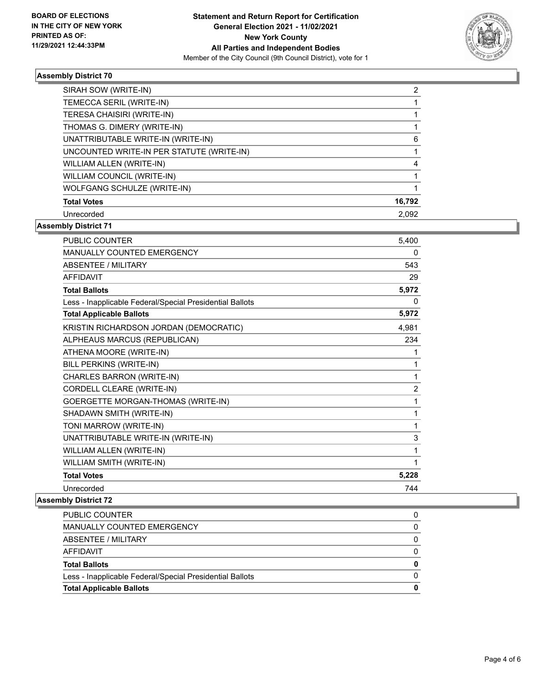

#### **Assembly District 70**

| SIRAH SOW (WRITE-IN)                      | 2      |
|-------------------------------------------|--------|
| TEMECCA SERIL (WRITE-IN)                  |        |
| TERESA CHAISIRI (WRITE-IN)                |        |
| THOMAS G. DIMERY (WRITE-IN)               |        |
| UNATTRIBUTABLE WRITE-IN (WRITE-IN)        | 6      |
| UNCOUNTED WRITE-IN PER STATUTE (WRITE-IN) |        |
| WILLIAM ALLEN (WRITE-IN)                  | 4      |
| WILLIAM COUNCIL (WRITE-IN)                |        |
| WOLFGANG SCHULZE (WRITE-IN)               |        |
| <b>Total Votes</b>                        | 16,792 |
| Unrecorded                                | 2.092  |

## **Assembly District 71**

| <b>PUBLIC COUNTER</b>                                    | 5,400          |
|----------------------------------------------------------|----------------|
| <b>MANUALLY COUNTED EMERGENCY</b>                        | 0              |
| <b>ABSENTEE / MILITARY</b>                               | 543            |
| <b>AFFIDAVIT</b>                                         | 29             |
| <b>Total Ballots</b>                                     | 5,972          |
| Less - Inapplicable Federal/Special Presidential Ballots | 0              |
| <b>Total Applicable Ballots</b>                          | 5,972          |
| KRISTIN RICHARDSON JORDAN (DEMOCRATIC)                   | 4,981          |
| ALPHEAUS MARCUS (REPUBLICAN)                             | 234            |
| ATHENA MOORE (WRITE-IN)                                  | 1              |
| BILL PERKINS (WRITE-IN)                                  | 1              |
| CHARLES BARRON (WRITE-IN)                                | 1              |
| CORDELL CLEARE (WRITE-IN)                                | $\overline{2}$ |
| GOERGETTE MORGAN-THOMAS (WRITE-IN)                       | 1              |
| SHADAWN SMITH (WRITE-IN)                                 | 1              |
| TONI MARROW (WRITE-IN)                                   | 1              |
| UNATTRIBUTABLE WRITE-IN (WRITE-IN)                       | 3              |
| WILLIAM ALLEN (WRITE-IN)                                 | 1              |
| WILLIAM SMITH (WRITE-IN)                                 | 1              |
| <b>Total Votes</b>                                       | 5,228          |
| Unrecorded                                               | 744            |

### **Assembly District 72**

| <b>Total Applicable Ballots</b>                          | 0 |
|----------------------------------------------------------|---|
| Less - Inapplicable Federal/Special Presidential Ballots |   |
| <b>Total Ballots</b>                                     | 0 |
| AFFIDAVIT                                                | 0 |
| ABSENTEE / MILITARY                                      | 0 |
| <b>MANUALLY COUNTED EMERGENCY</b>                        | 0 |
| PUBLIC COUNTER                                           |   |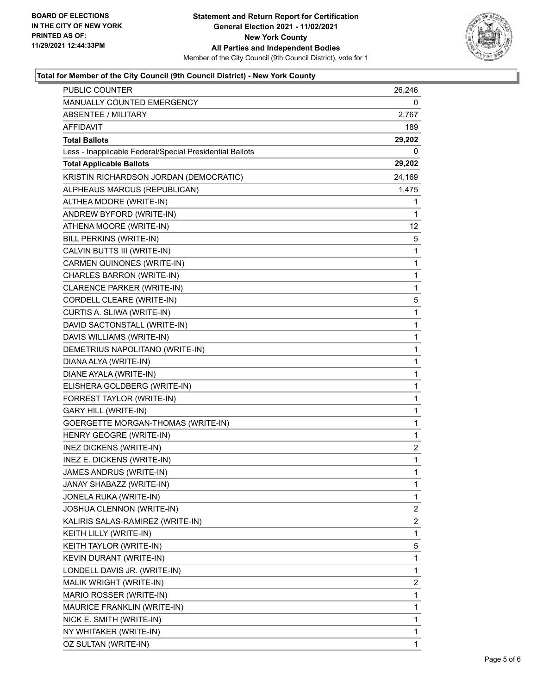

## **Total for Member of the City Council (9th Council District) - New York County**

| PUBLIC COUNTER                                           | 26,246                  |
|----------------------------------------------------------|-------------------------|
| MANUALLY COUNTED EMERGENCY                               | 0                       |
| <b>ABSENTEE / MILITARY</b>                               | 2,767                   |
| AFFIDAVIT                                                | 189                     |
| <b>Total Ballots</b>                                     | 29,202                  |
| Less - Inapplicable Federal/Special Presidential Ballots | 0                       |
| <b>Total Applicable Ballots</b>                          | 29,202                  |
| KRISTIN RICHARDSON JORDAN (DEMOCRATIC)                   | 24,169                  |
| ALPHEAUS MARCUS (REPUBLICAN)                             | 1,475                   |
| ALTHEA MOORE (WRITE-IN)                                  | 1                       |
| ANDREW BYFORD (WRITE-IN)                                 | 1                       |
| ATHENA MOORE (WRITE-IN)                                  | 12                      |
| BILL PERKINS (WRITE-IN)                                  | 5                       |
| CALVIN BUTTS III (WRITE-IN)                              | 1                       |
| CARMEN QUINONES (WRITE-IN)                               | 1                       |
| CHARLES BARRON (WRITE-IN)                                | 1                       |
| CLARENCE PARKER (WRITE-IN)                               | 1                       |
| CORDELL CLEARE (WRITE-IN)                                | 5                       |
| CURTIS A. SLIWA (WRITE-IN)                               | 1                       |
| DAVID SACTONSTALL (WRITE-IN)                             | 1                       |
| DAVIS WILLIAMS (WRITE-IN)                                | 1                       |
| DEMETRIUS NAPOLITANO (WRITE-IN)                          | 1                       |
| DIANA ALYA (WRITE-IN)                                    | 1                       |
| DIANE AYALA (WRITE-IN)                                   | 1                       |
| ELISHERA GOLDBERG (WRITE-IN)                             | 1                       |
| FORREST TAYLOR (WRITE-IN)                                | 1                       |
| <b>GARY HILL (WRITE-IN)</b>                              | 1                       |
| GOERGETTE MORGAN-THOMAS (WRITE-IN)                       | 1                       |
| HENRY GEOGRE (WRITE-IN)                                  | 1                       |
| <b>INEZ DICKENS (WRITE-IN)</b>                           | 2                       |
| INEZ E. DICKENS (WRITE-IN)                               | 1                       |
| JAMES ANDRUS (WRITE-IN)                                  | $\mathbf{1}$            |
| JANAY SHABAZZ (WRITE-IN)                                 | 1                       |
| JONELA RUKA (WRITE-IN)                                   | 1                       |
| JOSHUA CLENNON (WRITE-IN)                                | $\overline{\mathbf{c}}$ |
| KALIRIS SALAS-RAMIREZ (WRITE-IN)                         | 2                       |
| KEITH LILLY (WRITE-IN)                                   | 1                       |
| KEITH TAYLOR (WRITE-IN)                                  | 5                       |
| KEVIN DURANT (WRITE-IN)                                  | 1                       |
| LONDELL DAVIS JR. (WRITE-IN)                             | 1                       |
| MALIK WRIGHT (WRITE-IN)                                  | $\overline{\mathbf{c}}$ |
| MARIO ROSSER (WRITE-IN)                                  | 1                       |
| MAURICE FRANKLIN (WRITE-IN)                              | 1                       |
| NICK E. SMITH (WRITE-IN)                                 | 1                       |
| NY WHITAKER (WRITE-IN)                                   | 1                       |
| OZ SULTAN (WRITE-IN)                                     | 1                       |